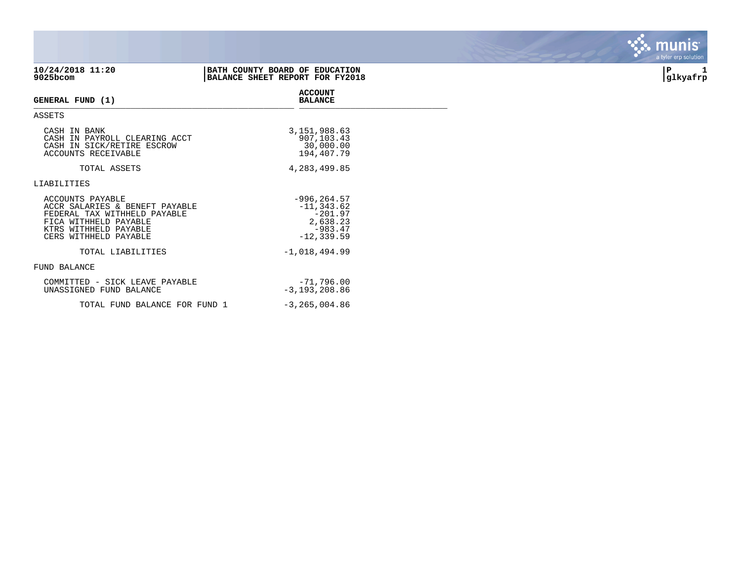| 10/24/2018 11:20<br>$9025$ bcom                                                                                                                               | BATH COUNTY BOARD OF EDUCATION<br>BALANCE SHEET REPORT FOR FY2018 |                                    | P<br>glkyafrp |
|---------------------------------------------------------------------------------------------------------------------------------------------------------------|-------------------------------------------------------------------|------------------------------------|---------------|
| GENERAL FUND (1)                                                                                                                                              | <b>ACCOUNT</b><br><b>BALANCE</b>                                  |                                    |               |
| ASSETS                                                                                                                                                        |                                                                   |                                    |               |
| CASH IN BANK<br>CASH IN PAYROLL CLEARING ACCT<br>CASH IN SICK/RETIRE ESCROW<br>ACCOUNTS RECEIVABLE                                                            | 3, 151, 988.63<br>907,103.43<br>30,000.00<br>194,407.79           |                                    |               |
| TOTAL ASSETS                                                                                                                                                  | 4, 283, 499.85                                                    |                                    |               |
| LIABILITIES                                                                                                                                                   |                                                                   |                                    |               |
| ACCOUNTS PAYABLE<br>ACCR SALARIES & BENEFT PAYABLE<br>FEDERAL TAX WITHHELD PAYABLE<br>FICA WITHHELD PAYABLE<br>KTRS WITHHELD PAYABLE<br>CERS WITHHELD PAYABLE | $-996, 264.57$<br>$-11, 343.62$<br>$-12, 339.59$                  | $-201.97$<br>2,638.23<br>$-983.47$ |               |
| TOTAL LIABILITIES                                                                                                                                             | $-1,018,494.99$                                                   |                                    |               |
| FUND BALANCE                                                                                                                                                  |                                                                   |                                    |               |
| COMMITTED - SICK LEAVE PAYABLE<br>UNASSIGNED FUND BALANCE                                                                                                     | $-71,796.00$<br>$-3, 193, 208.86$                                 |                                    |               |
| TOTAL FUND BALANCE FOR FUND 1                                                                                                                                 | $-3, 265, 004.86$                                                 |                                    |               |

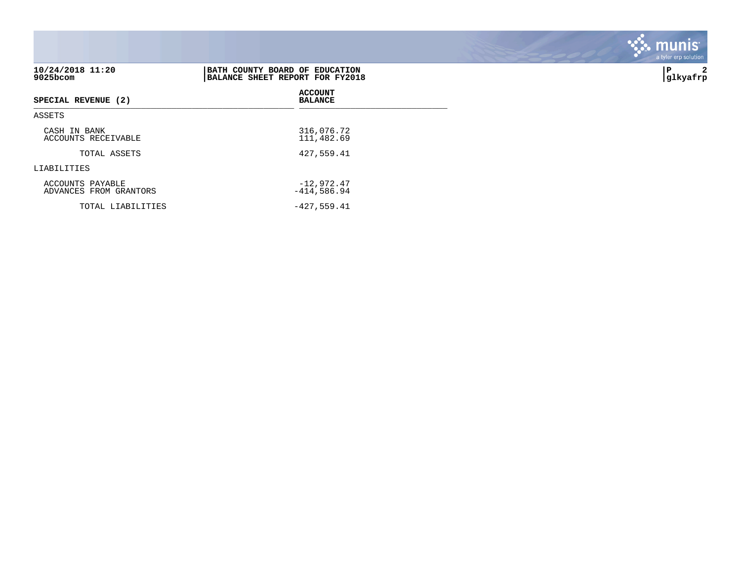| 10/24/2018 11:20<br>9025bcom               | BATH COUNTY BOARD OF EDUCATION<br>BALANCE SHEET REPORT FOR FY2018 | 2<br>P<br> glkyafrp |
|--------------------------------------------|-------------------------------------------------------------------|---------------------|
| SPECIAL REVENUE (2)                        | <b>ACCOUNT</b><br><b>BALANCE</b>                                  |                     |
| ASSETS                                     |                                                                   |                     |
| CASH IN BANK<br>ACCOUNTS RECEIVABLE        | 316,076.72<br>111,482.69                                          |                     |
| TOTAL ASSETS                               | 427,559.41                                                        |                     |
| LIABILITIES                                |                                                                   |                     |
| ACCOUNTS PAYABLE<br>ADVANCES FROM GRANTORS | $-12,972.47$<br>$-414,586.94$                                     |                     |
| TOTAL LIABILITIES                          | $-427,559.41$                                                     |                     |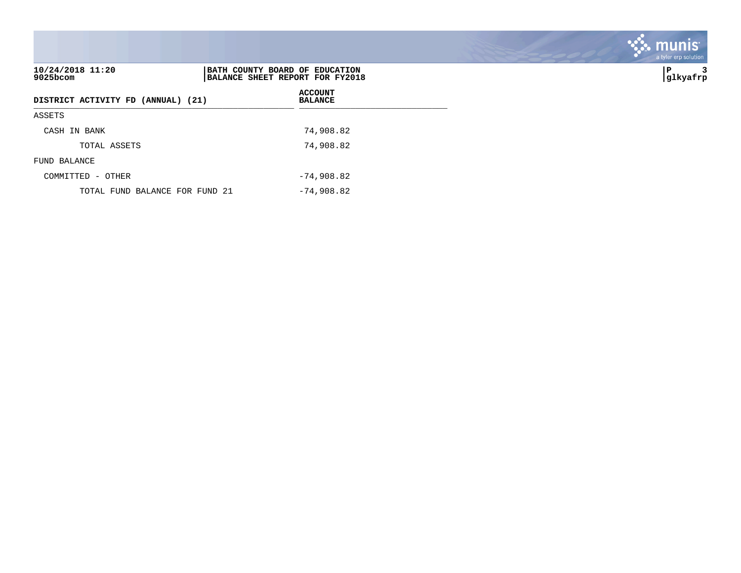| 10/24/2018 11:20<br>BATH COUNTY BOARD OF EDUCATION<br>9025bcom<br>BALANCE SHEET REPORT FOR FY2018 |                                  | з<br>P<br>glkyafrp] |
|---------------------------------------------------------------------------------------------------|----------------------------------|---------------------|
| DISTRICT ACTIVITY FD (ANNUAL) (21)                                                                | <b>ACCOUNT</b><br><b>BALANCE</b> |                     |
| ASSETS                                                                                            |                                  |                     |
| CASH IN BANK                                                                                      | 74,908.82                        |                     |
| TOTAL ASSETS                                                                                      | 74,908.82                        |                     |
| FUND BALANCE                                                                                      |                                  |                     |
| COMMITTED - OTHER                                                                                 | $-74,908.82$                     |                     |
| TOTAL FUND BALANCE FOR FUND 21                                                                    | $-74,908.82$                     |                     |

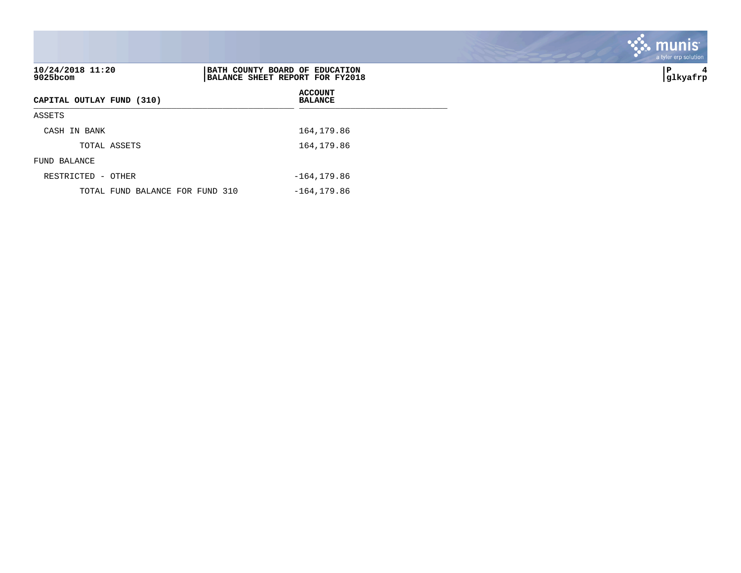|                                 |                                                                   | a tyler erp solution |
|---------------------------------|-------------------------------------------------------------------|----------------------|
| 10/24/2018 11:20<br>9025bcom    | BATH COUNTY BOARD OF EDUCATION<br>BALANCE SHEET REPORT FOR FY2018 | P<br>4<br> glkyafrp  |
| CAPITAL OUTLAY FUND (310)       | <b>ACCOUNT</b><br><b>BALANCE</b>                                  |                      |
| ASSETS                          |                                                                   |                      |
| CASH IN BANK                    | 164,179.86                                                        |                      |
| TOTAL ASSETS                    | 164,179.86                                                        |                      |
| FUND BALANCE                    |                                                                   |                      |
| RESTRICTED - OTHER              | $-164, 179.86$                                                    |                      |
| TOTAL FUND BALANCE FOR FUND 310 | $-164, 179.86$                                                    |                      |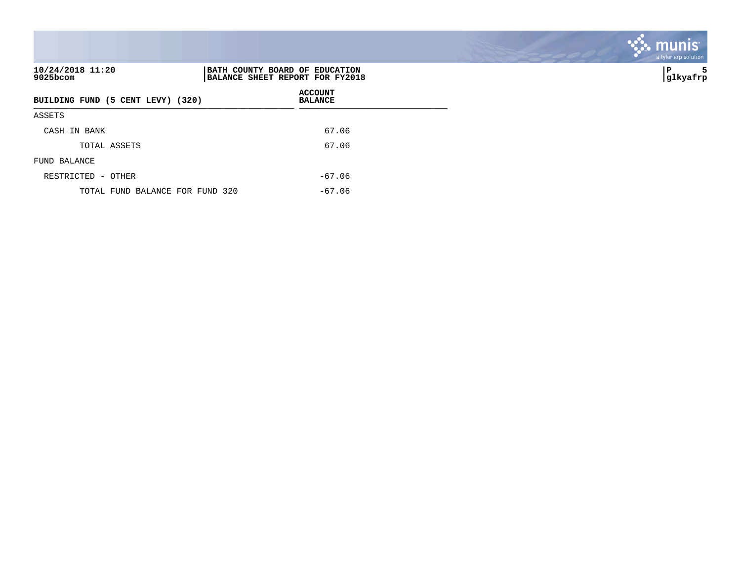| 10/24/2018 11:20<br>9025bcom      | BATH COUNTY BOARD OF EDUCATION<br>BALANCE SHEET REPORT FOR FY2018 | ∣P<br> glkyafrp |
|-----------------------------------|-------------------------------------------------------------------|-----------------|
| BUILDING FUND (5 CENT LEVY) (320) | <b>ACCOUNT</b><br><b>BALANCE</b>                                  |                 |
| ASSETS                            |                                                                   |                 |
| CASH IN BANK                      | 67.06                                                             |                 |
| TOTAL ASSETS                      | 67.06                                                             |                 |
| FUND BALANCE                      |                                                                   |                 |
| RESTRICTED - OTHER                | $-67.06$                                                          |                 |
| TOTAL FUND BALANCE FOR FUND 320   | $-67.06$                                                          |                 |

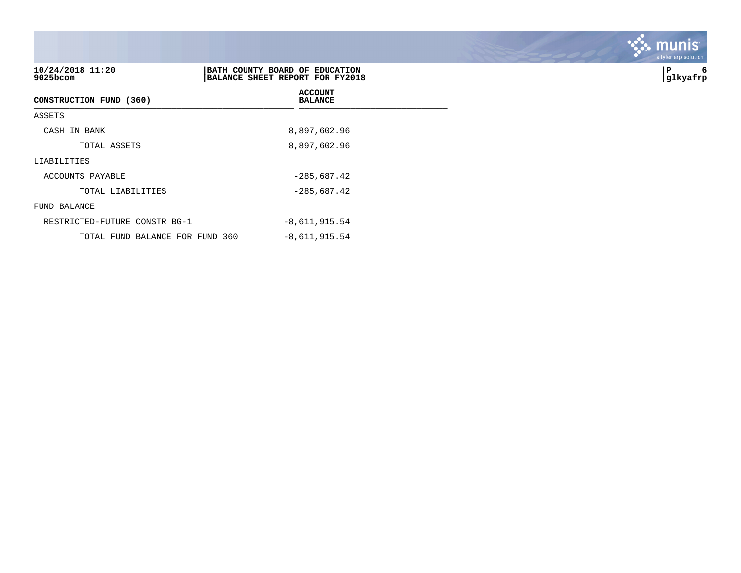| 10/24/2018 11:20<br>$9025$ bcom | BATH COUNTY BOARD OF EDUCATION<br>BALANCE SHEET REPORT FOR FY2018 | P<br>6<br> glkyafrp |
|---------------------------------|-------------------------------------------------------------------|---------------------|
| CONSTRUCTION FUND (360)         | <b>ACCOUNT</b><br><b>BALANCE</b>                                  |                     |
| ASSETS                          |                                                                   |                     |
| CASH IN BANK                    | 8,897,602.96                                                      |                     |
| TOTAL ASSETS                    | 8,897,602.96                                                      |                     |
| LIABILITIES                     |                                                                   |                     |
| ACCOUNTS PAYABLE                | $-285,687.42$                                                     |                     |
| TOTAL LIABILITIES               | $-285,687.42$                                                     |                     |
| FUND BALANCE                    |                                                                   |                     |
| RESTRICTED-FUTURE CONSTR BG-1   | $-8,611,915.54$                                                   |                     |
| TOTAL FUND BALANCE FOR FUND 360 | $-8,611,915.54$                                                   |                     |

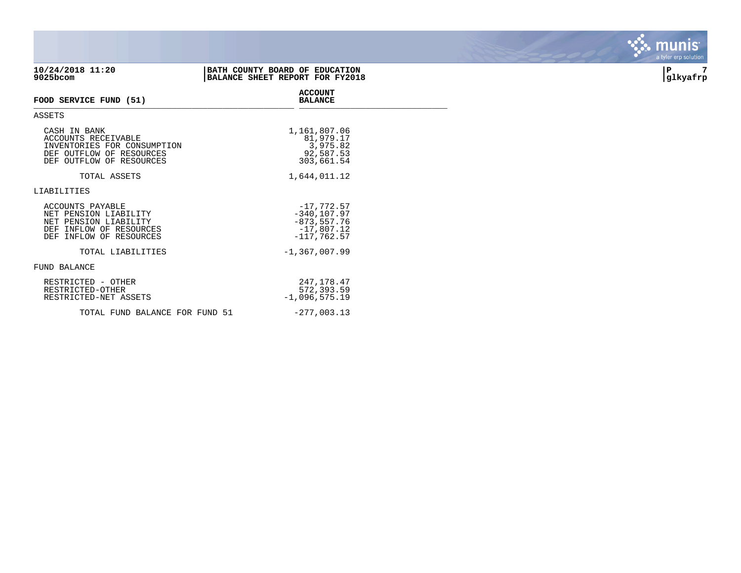| 10/24/2018 11:20<br>9025bcom                                                                                                | BATH COUNTY BOARD OF EDUCATION<br>BALANCE SHEET REPORT FOR FY2018                 | 7<br>∣P<br> glkyafrp |
|-----------------------------------------------------------------------------------------------------------------------------|-----------------------------------------------------------------------------------|----------------------|
| FOOD SERVICE FUND (51)                                                                                                      | <b>ACCOUNT</b><br><b>BALANCE</b>                                                  |                      |
| ASSETS                                                                                                                      |                                                                                   |                      |
| CASH IN BANK<br>ACCOUNTS RECEIVABLE<br>INVENTORIES FOR CONSUMPTION<br>DEF OUTFLOW OF RESOURCES<br>DEF OUTFLOW OF RESOURCES  | 1,161,807.06<br>81,979.17<br>3,975.82<br>92,587.53<br>303,661.54                  |                      |
| TOTAL ASSETS                                                                                                                | 1,644,011.12                                                                      |                      |
| LIABILITIES                                                                                                                 |                                                                                   |                      |
| ACCOUNTS PAYABLE<br>NET PENSION LIABILITY<br>NET PENSION LIABILITY<br>DEF INFLOW OF RESOURCES<br>INFLOW OF RESOURCES<br>DEF | $-17,772.57$<br>$-340, 107.97$<br>$-873, 557.76$<br>$-17,807.12$<br>$-117,762.57$ |                      |
| TOTAL LIABILITIES                                                                                                           | $-1, 367, 007.99$                                                                 |                      |
| FUND BALANCE                                                                                                                |                                                                                   |                      |
| RESTRICTED - OTHER<br>RESTRICTED-OTHER<br>RESTRICTED-NET ASSETS                                                             | 247,178.47<br>572,393.59<br>$-1,096,575.19$                                       |                      |
| TOTAL FUND BALANCE FOR FUND 51                                                                                              | $-277,003.13$                                                                     |                      |

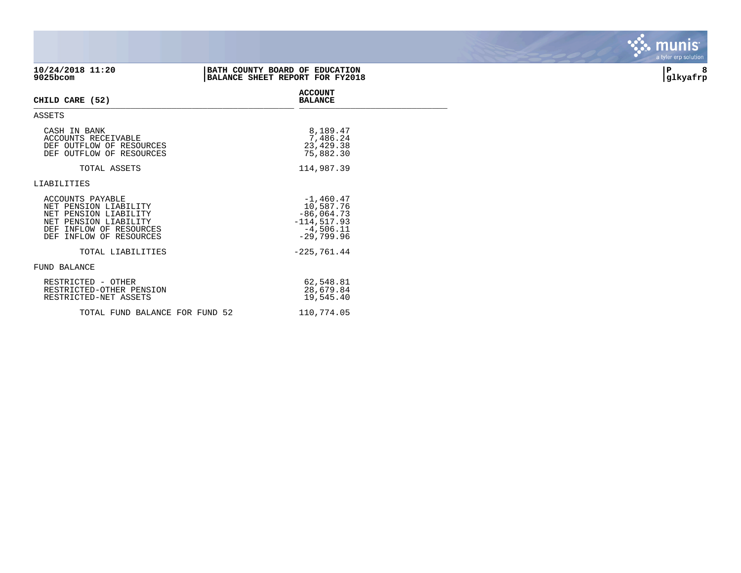| 10/24/2018 11:20<br>9025bcom                                                                                                                      | BATH COUNTY BOARD OF EDUCATION<br>BALANCE SHEET REPORT FOR FY2018                         | 8<br> P<br> glkyafrp |
|---------------------------------------------------------------------------------------------------------------------------------------------------|-------------------------------------------------------------------------------------------|----------------------|
| CHILD CARE (52)                                                                                                                                   | <b>ACCOUNT</b><br><b>BALANCE</b>                                                          |                      |
| ASSETS                                                                                                                                            |                                                                                           |                      |
| CASH IN BANK<br>ACCOUNTS RECEIVABLE<br>DEF OUTFLOW OF RESOURCES<br>DEF OUTFLOW OF RESOURCES                                                       | 8,189.47<br>7,486.24<br>23,429.38<br>75,882.30                                            |                      |
| TOTAL ASSETS                                                                                                                                      | 114,987.39                                                                                |                      |
| LIABILITIES                                                                                                                                       |                                                                                           |                      |
| ACCOUNTS PAYABLE<br>NET PENSION LIABILITY<br>NET PENSION LIABILITY<br>NET PENSION LIABILITY<br>DEF INFLOW OF RESOURCES<br>DEF INFLOW OF RESOURCES | $-1,460.47$<br>10,587.76<br>$-86,064.73$<br>$-114, 517.93$<br>$-4,506.11$<br>$-29,799.96$ |                      |
| TOTAL LIABILITIES                                                                                                                                 | $-225,761.44$                                                                             |                      |
| FUND BALANCE                                                                                                                                      |                                                                                           |                      |
| RESTRICTED - OTHER<br>RESTRICTED-OTHER PENSION<br>RESTRICTED-NET ASSETS                                                                           | 62,548.81<br>28,679.84<br>19,545.40                                                       |                      |
| TOTAL FUND BALANCE FOR FUND 52                                                                                                                    | 110,774.05                                                                                |                      |

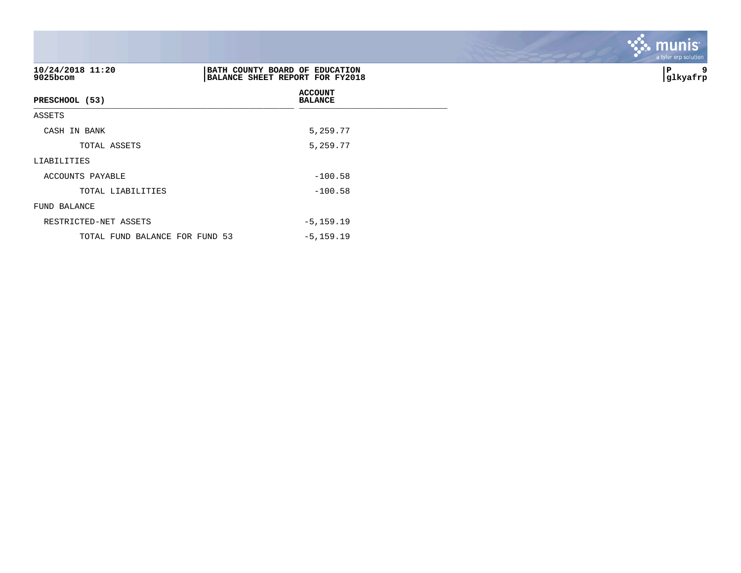| 10/24/2018 11:20<br>9025bcom   | BATH COUNTY BOARD OF EDUCATION<br>BALANCE SHEET REPORT FOR FY2018 | 9<br>P<br> glkyafrp |
|--------------------------------|-------------------------------------------------------------------|---------------------|
| PRESCHOOL (53)                 | <b>ACCOUNT</b><br><b>BALANCE</b>                                  |                     |
| ASSETS                         |                                                                   |                     |
| CASH IN BANK                   | 5,259.77                                                          |                     |
| TOTAL ASSETS                   | 5,259.77                                                          |                     |
| LIABILITIES                    |                                                                   |                     |
| ACCOUNTS PAYABLE               | $-100.58$                                                         |                     |
| TOTAL LIABILITIES              | $-100.58$                                                         |                     |
| FUND BALANCE                   |                                                                   |                     |
| RESTRICTED-NET ASSETS          | $-5, 159.19$                                                      |                     |
| TOTAL FUND BALANCE FOR FUND 53 | $-5, 159.19$                                                      |                     |

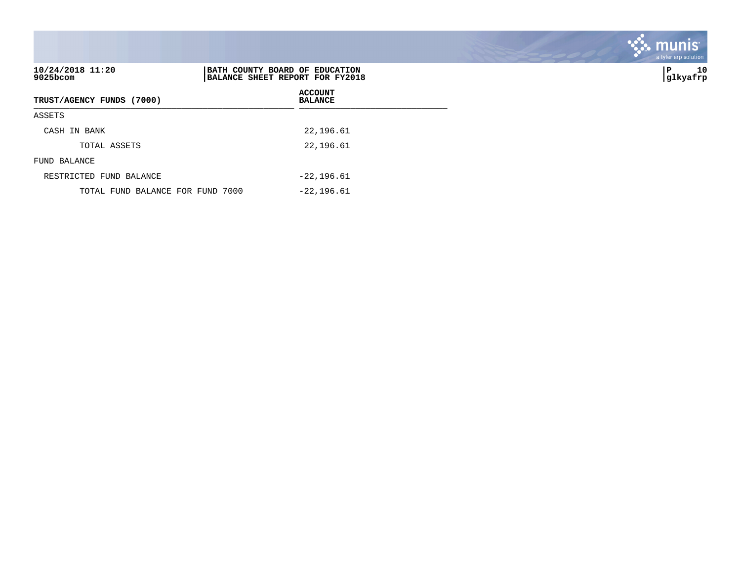| 10/24/2018 11:20<br>$9025$ bcom  | BATH COUNTY BOARD OF EDUCATION<br>BALANCE SHEET REPORT FOR FY2018 | 10<br>∣P<br> glkyafrp |
|----------------------------------|-------------------------------------------------------------------|-----------------------|
| TRUST/AGENCY FUNDS (7000)        | <b>ACCOUNT</b><br><b>BALANCE</b>                                  |                       |
| ASSETS                           |                                                                   |                       |
| CASH IN BANK                     | 22,196.61                                                         |                       |
| TOTAL ASSETS                     | 22,196.61                                                         |                       |
| FUND BALANCE                     |                                                                   |                       |
| RESTRICTED FUND BALANCE          | $-22, 196.61$                                                     |                       |
| TOTAL FUND BALANCE FOR FUND 7000 | $-22, 196.61$                                                     |                       |

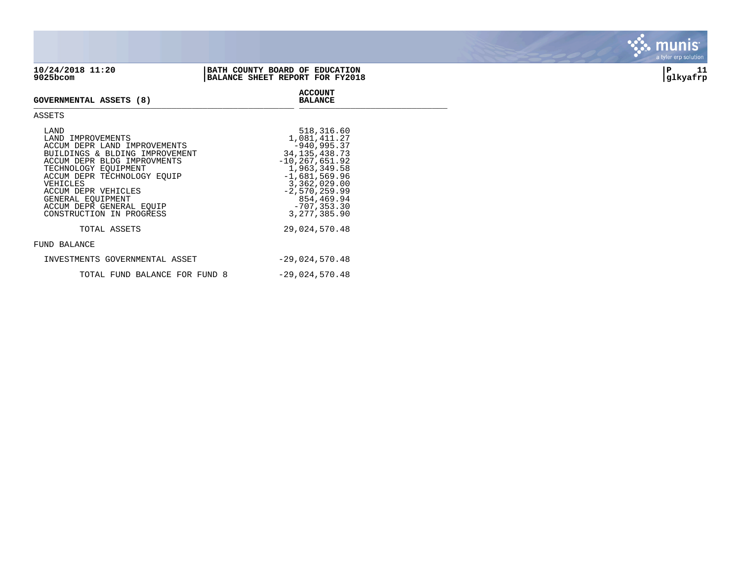| 10/24/2018 11:20 | BATH COUNTY BOARD OF EDUCATION  |          |  |
|------------------|---------------------------------|----------|--|
| 9025bcom         | BALANCE SHEET REPORT FOR FY2018 | qlkyafrp |  |

## **GOVERNMENTAL ASSETS (8)** GOVERNMENTAL ASSETS (0)

## ASSETS

| LAND<br>LAND IMPROVEMENTS<br>ACCUM DEPR LAND IMPROVEMENTS<br>BUILDINGS & BLDING IMPROVEMENT<br>ACCUM DEPR BLDG IMPROVMENTS<br>TECHNOLOGY EOUIPMENT<br>ACCUM DEPR TECHNOLOGY EQUIP<br>VEHICLES<br>ACCUM DEPR VEHICLES<br>GENERAL EOUIPMENT<br>ACCUM DEPR GENERAL EQUIP<br>CONSTRUCTION IN PROGRESS | 518,316.60<br>1,081,411.27<br>$-940, 995.37$<br>34, 135, 438. 73<br>$-10, 267, 651.92$<br>1,963,349.58<br>$-1,681,569.96$<br>3,362,029.00<br>$-2,570,259.99$<br>854,469.94<br>$-707, 353.30$<br>3, 277, 385, 90 |
|---------------------------------------------------------------------------------------------------------------------------------------------------------------------------------------------------------------------------------------------------------------------------------------------------|-----------------------------------------------------------------------------------------------------------------------------------------------------------------------------------------------------------------|
| TOTAL ASSETS                                                                                                                                                                                                                                                                                      | 29,024,570.48                                                                                                                                                                                                   |
| FUND BALANCE                                                                                                                                                                                                                                                                                      |                                                                                                                                                                                                                 |
| INVESTMENTS GOVERNMENTAL ASSET                                                                                                                                                                                                                                                                    | $-29,024,570.48$                                                                                                                                                                                                |
| TOTAL FUND BALANCE FOR FUND 8                                                                                                                                                                                                                                                                     | $-29,024,570.48$                                                                                                                                                                                                |

**ACCOUNT**

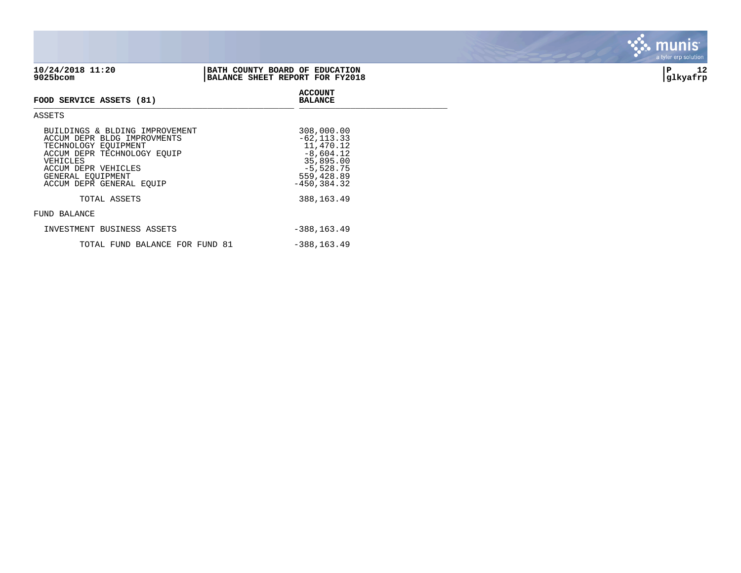| 10/24/2018 11:20 | BATH COUNTY BOARD OF EDUCATION  | 10       |
|------------------|---------------------------------|----------|
| 9025bcom         | BALANCE SHEET REPORT FOR FY2018 | glkyafrp |
|                  | <b>ACCOUNT</b>                  |          |



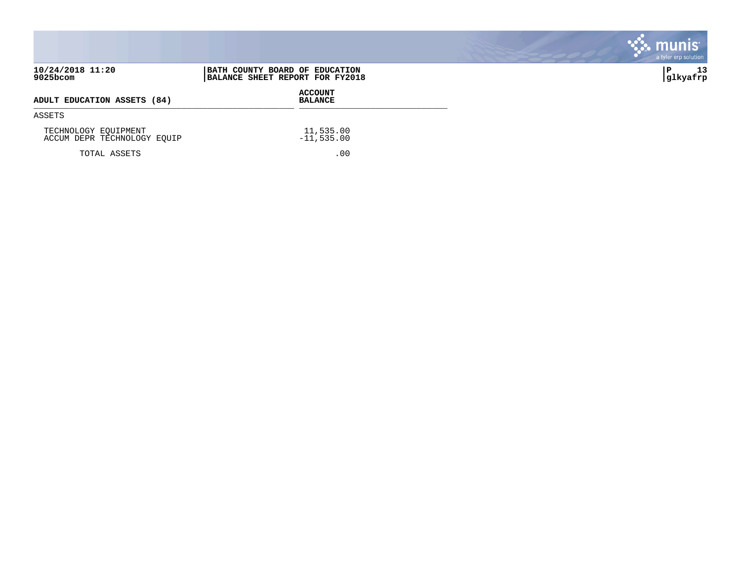|                                                     |                                                                   | munis<br>a tyler erp solution |
|-----------------------------------------------------|-------------------------------------------------------------------|-------------------------------|
| 10/24/2018 11:20<br>9025bcom                        | BATH COUNTY BOARD OF EDUCATION<br>BALANCE SHEET REPORT FOR FY2018 | 13<br>P<br> glkyafrp          |
| ADULT EDUCATION ASSETS (84)                         | <b>ACCOUNT</b><br><b>BALANCE</b>                                  |                               |
| ASSETS                                              |                                                                   |                               |
| TECHNOLOGY EQUIPMENT<br>ACCUM DEPR TECHNOLOGY EQUIP | 11,535.00<br>$-11,535.00$                                         |                               |
| TOTAL ASSETS                                        | .00                                                               |                               |

**COL** 

**Contract Contract Contract**